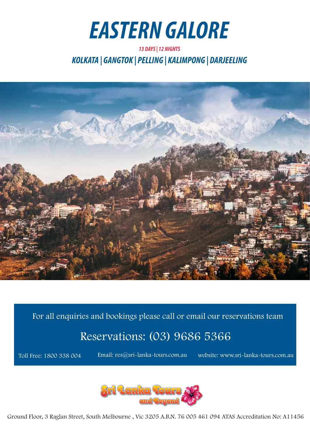

*KOLKATA | GANGTOK | PELLING | KALIMPONG | DARJEELING 13 DAYS | 12 NIGHTS*



For all enquiries and bookings please call or email our reservations team

# Reservations: (03) 9686 5366

Toll Free: 1800 338 004

Email: res@sri-lanka-tours.com.au website: www.sri-lanka-tours.com.au



Ground Floor, 3 Raglan Street, South Melbourne , Vic 3205 A.B.N. 76 005 461 094 ATAS Accreditation No: A11456